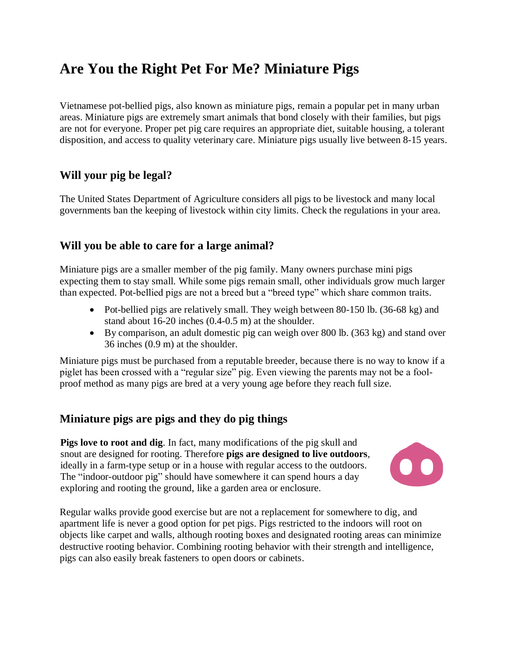# **Are You the Right Pet For Me? Miniature Pigs**

Vietnamese pot-bellied pigs, also known as miniature pigs, remain a popular pet in many urban areas. Miniature pigs are extremely smart animals that bond closely with their families, but pigs are not for everyone. Proper pet pig care requires an appropriate diet, suitable housing, a tolerant disposition, and access to quality veterinary care. Miniature pigs usually live between 8-15 years.

# **Will your pig be legal?**

The United States Department of Agriculture considers all pigs to be livestock and many local governments ban the keeping of livestock within city limits. Check the regulations in your area.

## **Will you be able to care for a large animal?**

Miniature pigs are a smaller member of the pig family. Many owners purchase mini pigs expecting them to stay small. While some pigs remain small, other individuals grow much larger than expected. Pot-bellied pigs are not a breed but a "breed type" which share common traits.

- Pot-bellied pigs are relatively small. They weigh between 80-150 lb. (36-68 kg) and stand about 16-20 inches (0.4-0.5 m) at the shoulder.
- By comparison, an adult domestic pig can weigh over 800 lb. (363 kg) and stand over 36 inches (0.9 m) at the shoulder.

Miniature pigs must be purchased from a reputable breeder, because there is no way to know if a piglet has been crossed with a "regular size" pig. Even viewing the parents may not be a foolproof method as many pigs are bred at a very young age before they reach full size.

# **Miniature pigs are pigs and they do pig things**

**Pigs love to root and dig**. In fact, many modifications of the pig skull and snout are designed for rooting. Therefore **pigs are designed to live outdoors**, ideally in a farm-type setup or in a house with regular access to the outdoors. The "indoor-outdoor pig" should have somewhere it can spend hours a day exploring and rooting the ground, like a garden area or enclosure.



Regular walks provide good exercise but are not a replacement for somewhere to dig, and apartment life is never a good option for pet pigs. Pigs restricted to the indoors will root on objects like carpet and walls, although rooting boxes and designated rooting areas can minimize destructive rooting behavior. Combining rooting behavior with their strength and intelligence, pigs can also easily break fasteners to open doors or cabinets.